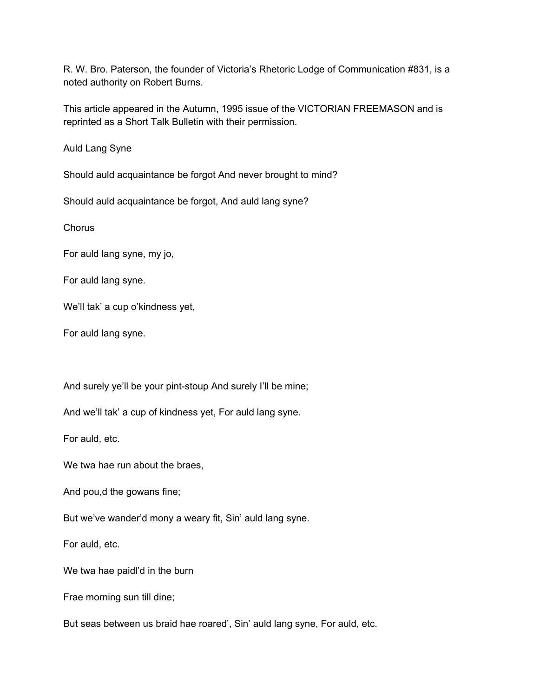R. W. Bro. Paterson, the founder of Victoria's Rhetoric Lodge of Communication #831, is a noted authority on Robert Burns.

This article appeared in the Autumn, 1995 issue of the VICTORIAN FREEMASON and is reprinted as a Short Talk Bulletin with their permission.

Auld Lang Syne

Should auld acquaintance be forgot And never brought to mind?

Should auld acquaintance be forgot, And auld lang syne?

**Chorus** 

For auld lang syne, my jo,

For auld lang syne.

We'll tak' a cup o'kindness yet,

For auld lang syne.

And surely ye'll be your pint-stoup And surely I'll be mine;

And we'll tak' a cup of kindness yet, For auld lang syne.

For auld, etc.

We twa hae run about the braes,

And pou,d the gowans fine;

But we've wander'd mony a weary fit, Sin' auld lang syne.

For auld, etc.

We twa hae paidl'd in the burn

Frae morning sun till dine;

But seas between us braid hae roared', Sin' auld lang syne, For auld, etc.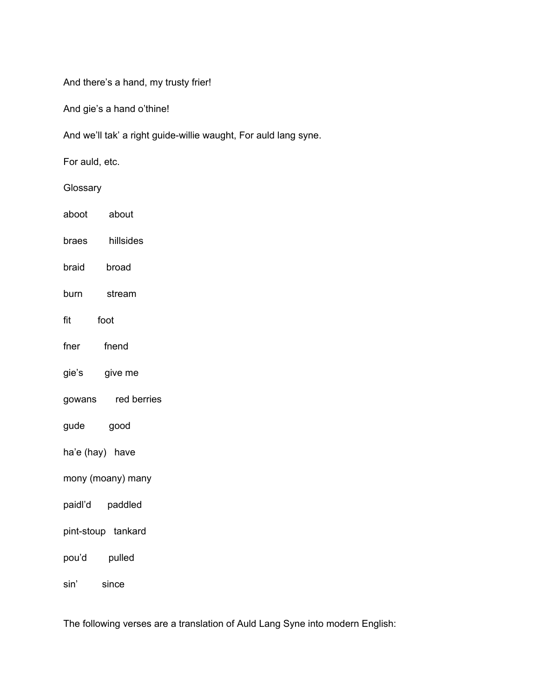## And there's a hand, my trusty frier!

And gie's a hand o'thine!

And we'll tak' a right guide-willie waught, For auld lang syne.

For auld, etc.

## **Glossary**

- aboot about
- braes hillsides
- braid broad
- burn stream
- fit foot
- fner fnend
- gie's give me
- gowans red berries
- gude good
- ha'e (hay) have
- mony (moany) many
- paidl'd paddled
- pint-stoup tankard
- pou'd pulled

sin' since

The following verses are a translation of Auld Lang Syne into modern English: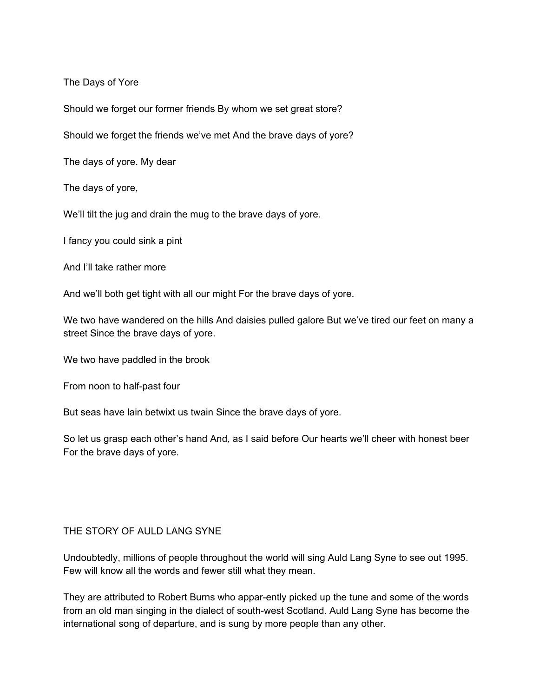The Days of Yore

Should we forget our former friends By whom we set great store?

Should we forget the friends we've met And the brave days of yore?

The days of yore. My dear

The days of yore,

We'll tilt the jug and drain the mug to the brave days of yore.

I fancy you could sink a pint

And I'll take rather more

And we'll both get tight with all our might For the brave days of yore.

We two have wandered on the hills And daisies pulled galore But we've tired our feet on many a street Since the brave days of yore.

We two have paddled in the brook

From noon to half-past four

But seas have lain betwixt us twain Since the brave days of yore.

So let us grasp each other's hand And, as I said before Our hearts we'll cheer with honest beer For the brave days of yore.

## THE STORY OF AULD LANG SYNE

Undoubtedly, millions of people throughout the world will sing Auld Lang Syne to see out 1995. Few will know all the words and fewer still what they mean.

They are attributed to Robert Burns who appar-ently picked up the tune and some of the words from an old man singing in the dialect of south-west Scotland. Auld Lang Syne has become the international song of departure, and is sung by more people than any other.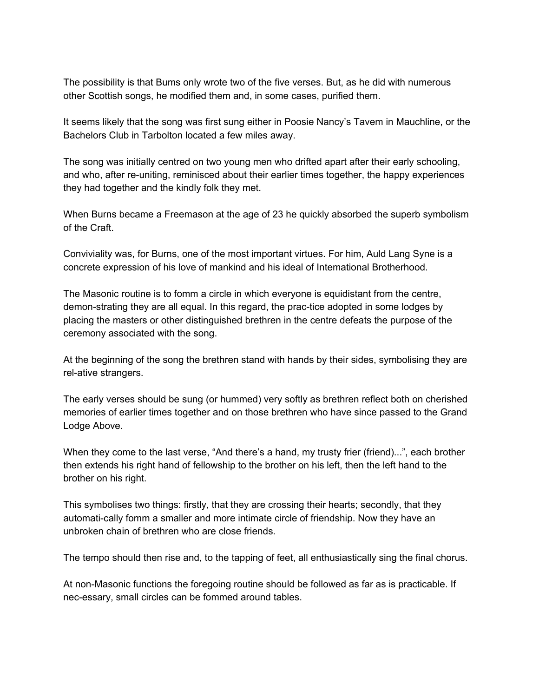The possibility is that Bums only wrote two of the five verses. But, as he did with numerous other Scottish songs, he modified them and, in some cases, purified them.

It seems likely that the song was first sung either in Poosie Nancy's Tavem in Mauchline, or the Bachelors Club in Tarbolton located a few miles away.

The song was initially centred on two young men who drifted apart after their early schooling, and who, after re-uniting, reminisced about their earlier times together, the happy experiences they had together and the kindly folk they met.

When Burns became a Freemason at the age of 23 he quickly absorbed the superb symbolism of the Craft.

Conviviality was, for Burns, one of the most important virtues. For him, Auld Lang Syne is a concrete expression of his love of mankind and his ideal of Intemational Brotherhood.

The Masonic routine is to fomm a circle in which everyone is equidistant from the centre, demon-strating they are all equal. In this regard, the prac-tice adopted in some lodges by placing the masters or other distinguished brethren in the centre defeats the purpose of the ceremony associated with the song.

At the beginning of the song the brethren stand with hands by their sides, symbolising they are rel-ative strangers.

The early verses should be sung (or hummed) very softly as brethren reflect both on cherished memories of earlier times together and on those brethren who have since passed to the Grand Lodge Above.

When they come to the last verse, "And there's a hand, my trusty frier (friend)...", each brother then extends his right hand of fellowship to the brother on his left, then the left hand to the brother on his right.

This symbolises two things: firstly, that they are crossing their hearts; secondly, that they automati-cally fomm a smaller and more intimate circle of friendship. Now they have an unbroken chain of brethren who are close friends.

The tempo should then rise and, to the tapping of feet, all enthusiastically sing the final chorus.

At non-Masonic functions the foregoing routine should be followed as far as is practicable. If nec-essary, small circles can be fommed around tables.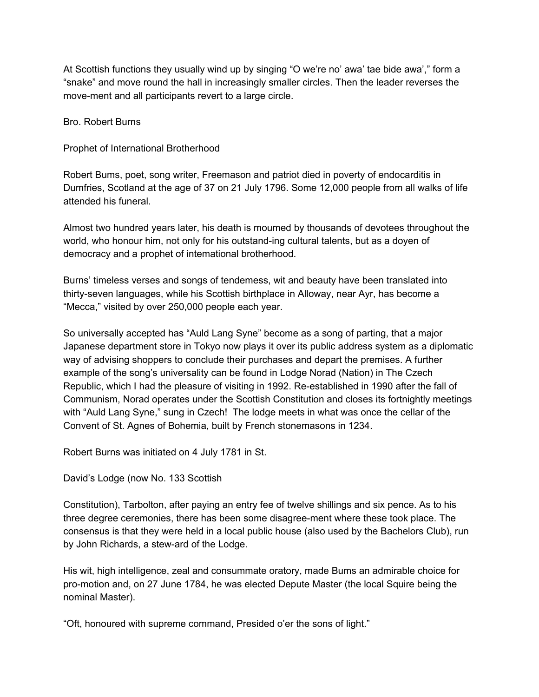At Scottish functions they usually wind up by singing "O we're no' awa' tae bide awa'," form a "snake" and move round the hall in increasingly smaller circles. Then the leader reverses the move-ment and all participants revert to a large circle.

Bro. Robert Burns

Prophet of International Brotherhood

Robert Bums, poet, song writer, Freemason and patriot died in poverty of endocarditis in Dumfries, Scotland at the age of 37 on 21 July 1796. Some 12,000 people from all walks of life attended his funeral.

Almost two hundred years later, his death is moumed by thousands of devotees throughout the world, who honour him, not only for his outstand-ing cultural talents, but as a doyen of democracy and a prophet of intemational brotherhood.

Burns' timeless verses and songs of tendemess, wit and beauty have been translated into thirty-seven languages, while his Scottish birthplace in Alloway, near Ayr, has become a "Mecca," visited by over 250,000 people each year.

So universally accepted has "Auld Lang Syne" become as a song of parting, that a major Japanese department store in Tokyo now plays it over its public address system as a diplomatic way of advising shoppers to conclude their purchases and depart the premises. A further example of the song's universality can be found in Lodge Norad (Nation) in The Czech Republic, which I had the pleasure of visiting in 1992. Re-established in 1990 after the fall of Communism, Norad operates under the Scottish Constitution and closes its fortnightly meetings with "Auld Lang Syne," sung in Czech! The lodge meets in what was once the cellar of the Convent of St. Agnes of Bohemia, built by French stonemasons in 1234.

Robert Burns was initiated on 4 July 1781 in St.

David's Lodge (now No. 133 Scottish

Constitution), Tarbolton, after paying an entry fee of twelve shillings and six pence. As to his three degree ceremonies, there has been some disagree-ment where these took place. The consensus is that they were held in a local public house (also used by the Bachelors Club), run by John Richards, a stew-ard of the Lodge.

His wit, high intelligence, zeal and consummate oratory, made Bums an admirable choice for pro-motion and, on 27 June 1784, he was elected Depute Master (the local Squire being the nominal Master).

"Oft, honoured with supreme command, Presided o'er the sons of light."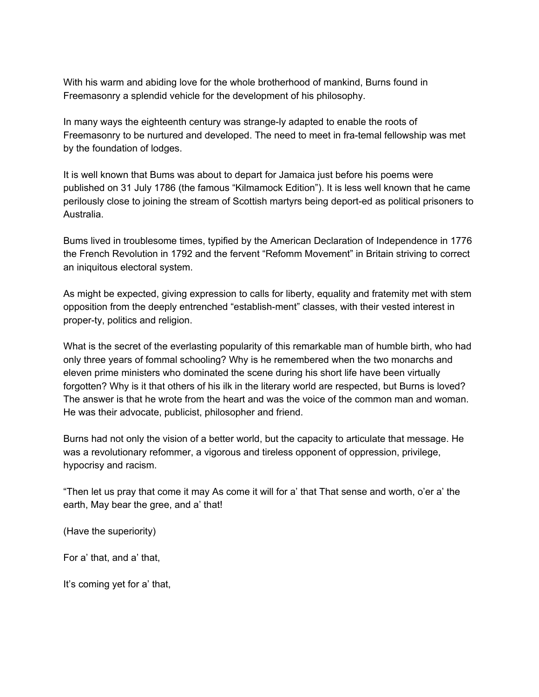With his warm and abiding love for the whole brotherhood of mankind, Burns found in Freemasonry a splendid vehicle for the development of his philosophy.

In many ways the eighteenth century was strange-ly adapted to enable the roots of Freemasonry to be nurtured and developed. The need to meet in fra-temal fellowship was met by the foundation of lodges.

It is well known that Bums was about to depart for Jamaica just before his poems were published on 31 July 1786 (the famous "Kilmamock Edition"). It is less well known that he came perilously close to joining the stream of Scottish martyrs being deport-ed as political prisoners to Australia.

Bums lived in troublesome times, typified by the American Declaration of Independence in 1776 the French Revolution in 1792 and the fervent "Refomm Movement" in Britain striving to correct an iniquitous electoral system.

As might be expected, giving expression to calls for liberty, equality and fratemity met with stem opposition from the deeply entrenched "establish-ment" classes, with their vested interest in proper-ty, politics and religion.

What is the secret of the everlasting popularity of this remarkable man of humble birth, who had only three years of fommal schooling? Why is he remembered when the two monarchs and eleven prime ministers who dominated the scene during his short life have been virtually forgotten? Why is it that others of his ilk in the literary world are respected, but Burns is loved? The answer is that he wrote from the heart and was the voice of the common man and woman. He was their advocate, publicist, philosopher and friend.

Burns had not only the vision of a better world, but the capacity to articulate that message. He was a revolutionary refommer, a vigorous and tireless opponent of oppression, privilege, hypocrisy and racism.

"Then let us pray that come it may As come it will for a' that That sense and worth, o'er a' the earth, May bear the gree, and a' that!

(Have the superiority)

For a' that, and a' that,

It's coming yet for a' that,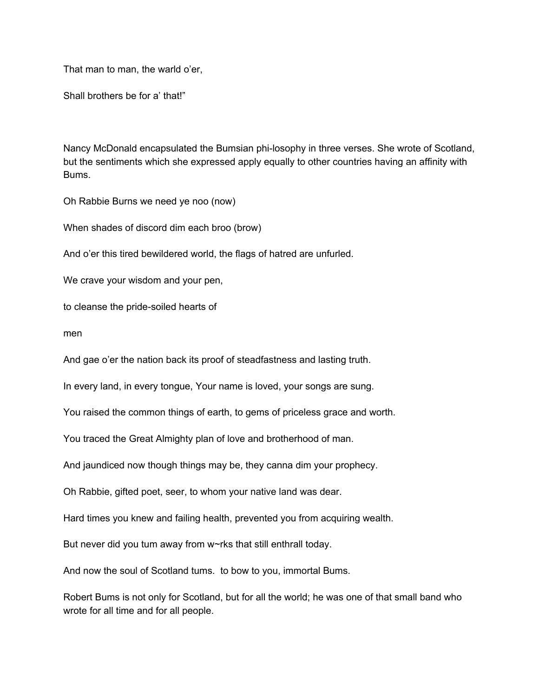That man to man, the warld o'er,

Shall brothers be for a' that!"

Nancy McDonald encapsulated the Bumsian phi-losophy in three verses. She wrote of Scotland, but the sentiments which she expressed apply equally to other countries having an affinity with Bums.

Oh Rabbie Burns we need ye noo (now)

When shades of discord dim each broo (brow)

And o'er this tired bewildered world, the flags of hatred are unfurled.

We crave your wisdom and your pen,

to cleanse the pride-soiled hearts of

men

And gae o'er the nation back its proof of steadfastness and lasting truth.

In every land, in every tongue, Your name is loved, your songs are sung.

You raised the common things of earth, to gems of priceless grace and worth.

You traced the Great Almighty plan of love and brotherhood of man.

And jaundiced now though things may be, they canna dim your prophecy.

Oh Rabbie, gifted poet, seer, to whom your native land was dear.

Hard times you knew and failing health, prevented you from acquiring wealth.

But never did you tum away from w~rks that still enthrall today.

And now the soul of Scotland tums. to bow to you, immortal Bums.

Robert Bums is not only for Scotland, but for all the world; he was one of that small band who wrote for all time and for all people.